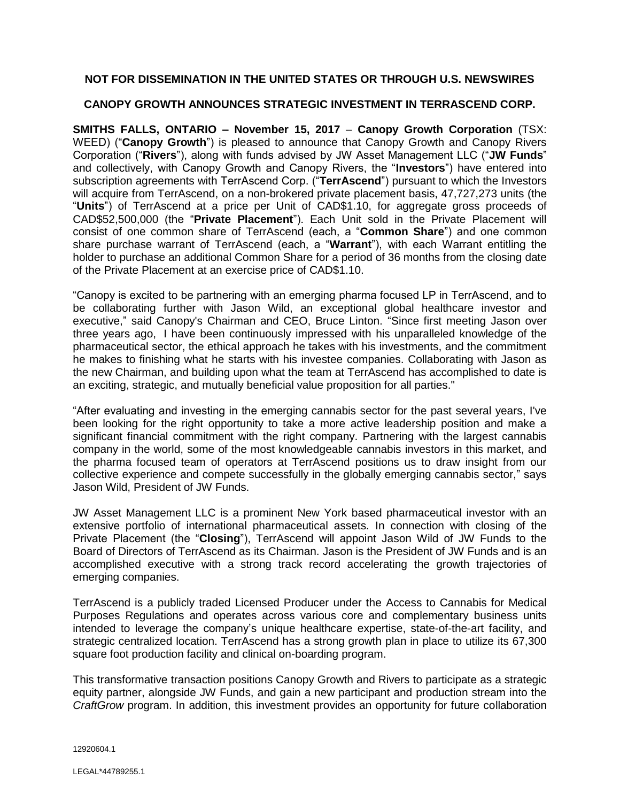# **NOT FOR DISSEMINATION IN THE UNITED STATES OR THROUGH U.S. NEWSWIRES**

### **CANOPY GROWTH ANNOUNCES STRATEGIC INVESTMENT IN TERRASCEND CORP.**

**SMITHS FALLS, ONTARIO – November 15, 2017** – **Canopy Growth Corporation** (TSX: WEED) ("**Canopy Growth**") is pleased to announce that Canopy Growth and Canopy Rivers Corporation ("**Rivers**"), along with funds advised by JW Asset Management LLC ("**JW Funds**" and collectively, with Canopy Growth and Canopy Rivers, the "**Investors**") have entered into subscription agreements with TerrAscend Corp. ("**TerrAscend**") pursuant to which the Investors will acquire from TerrAscend, on a non-brokered private placement basis, 47,727,273 units (the "**Units**") of TerrAscend at a price per Unit of CAD\$1.10, for aggregate gross proceeds of CAD\$52,500,000 (the "**Private Placement**"). Each Unit sold in the Private Placement will consist of one common share of TerrAscend (each, a "**Common Share**") and one common share purchase warrant of TerrAscend (each, a "**Warrant**"), with each Warrant entitling the holder to purchase an additional Common Share for a period of 36 months from the closing date of the Private Placement at an exercise price of CAD\$1.10.

"Canopy is excited to be partnering with an emerging pharma focused LP in TerrAscend, and to be collaborating further with Jason Wild, an exceptional global healthcare investor and executive," said Canopy's Chairman and CEO, Bruce Linton. "Since first meeting Jason over three years ago, I have been continuously impressed with his unparalleled knowledge of the pharmaceutical sector, the ethical approach he takes with his investments, and the commitment he makes to finishing what he starts with his investee companies. Collaborating with Jason as the new Chairman, and building upon what the team at TerrAscend has accomplished to date is an exciting, strategic, and mutually beneficial value proposition for all parties."

"After evaluating and investing in the emerging cannabis sector for the past several years, I've been looking for the right opportunity to take a more active leadership position and make a significant financial commitment with the right company. Partnering with the largest cannabis company in the world, some of the most knowledgeable cannabis investors in this market, and the pharma focused team of operators at TerrAscend positions us to draw insight from our collective experience and compete successfully in the globally emerging cannabis sector," says Jason Wild, President of JW Funds.

JW Asset Management LLC is a prominent New York based pharmaceutical investor with an extensive portfolio of international pharmaceutical assets. In connection with closing of the Private Placement (the "**Closing**"), TerrAscend will appoint Jason Wild of JW Funds to the Board of Directors of TerrAscend as its Chairman. Jason is the President of JW Funds and is an accomplished executive with a strong track record accelerating the growth trajectories of emerging companies.

TerrAscend is a publicly traded Licensed Producer under the Access to Cannabis for Medical Purposes Regulations and operates across various core and complementary business units intended to leverage the company's unique healthcare expertise, state-of-the-art facility, and strategic centralized location. TerrAscend has a strong growth plan in place to utilize its 67,300 square foot production facility and clinical on-boarding program.

This transformative transaction positions Canopy Growth and Rivers to participate as a strategic equity partner, alongside JW Funds, and gain a new participant and production stream into the *CraftGrow* program. In addition, this investment provides an opportunity for future collaboration

12920604.1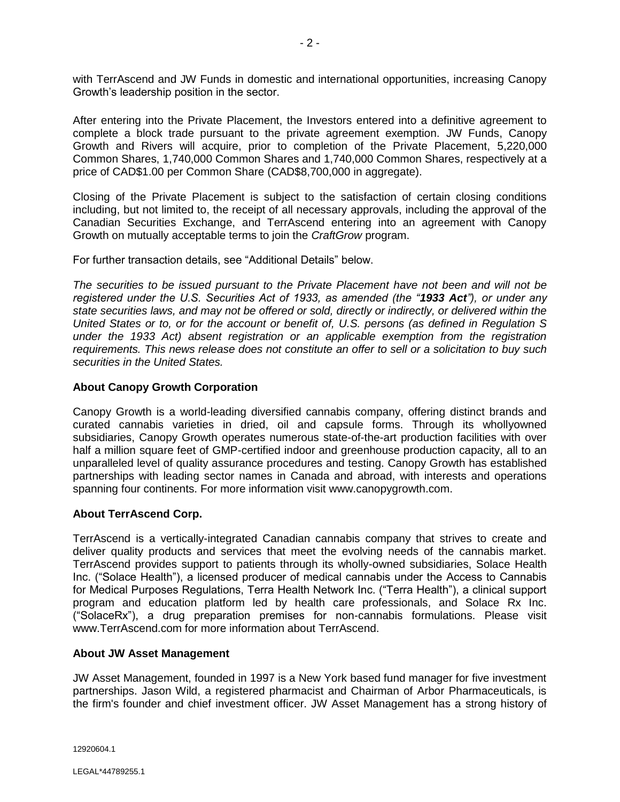with TerrAscend and JW Funds in domestic and international opportunities, increasing Canopy Growth's leadership position in the sector.

After entering into the Private Placement, the Investors entered into a definitive agreement to complete a block trade pursuant to the private agreement exemption. JW Funds, Canopy Growth and Rivers will acquire, prior to completion of the Private Placement, 5,220,000 Common Shares, 1,740,000 Common Shares and 1,740,000 Common Shares, respectively at a price of CAD\$1.00 per Common Share (CAD\$8,700,000 in aggregate).

Closing of the Private Placement is subject to the satisfaction of certain closing conditions including, but not limited to, the receipt of all necessary approvals, including the approval of the Canadian Securities Exchange, and TerrAscend entering into an agreement with Canopy Growth on mutually acceptable terms to join the *CraftGrow* program.

For further transaction details, see "Additional Details" below.

*The securities to be issued pursuant to the Private Placement have not been and will not be registered under the U.S. Securities Act of 1933, as amended (the "1933 Act"), or under any state securities laws, and may not be offered or sold, directly or indirectly, or delivered within the United States or to, or for the account or benefit of, U.S. persons (as defined in Regulation S under the 1933 Act) absent registration or an applicable exemption from the registration requirements. This news release does not constitute an offer to sell or a solicitation to buy such securities in the United States.*

## **About Canopy Growth Corporation**

Canopy Growth is a world-leading diversified cannabis company, offering distinct brands and curated cannabis varieties in dried, oil and capsule forms. Through its whollyowned subsidiaries, Canopy Growth operates numerous state-of-the-art production facilities with over half a million square feet of GMP-certified indoor and greenhouse production capacity, all to an unparalleled level of quality assurance procedures and testing. Canopy Growth has established partnerships with leading sector names in Canada and abroad, with interests and operations spanning four continents. For more information visit www.canopygrowth.com.

#### **About TerrAscend Corp.**

TerrAscend is a vertically-integrated Canadian cannabis company that strives to create and deliver quality products and services that meet the evolving needs of the cannabis market. TerrAscend provides support to patients through its wholly-owned subsidiaries, Solace Health Inc. ("Solace Health"), a licensed producer of medical cannabis under the Access to Cannabis for Medical Purposes Regulations, Terra Health Network Inc. ("Terra Health"), a clinical support program and education platform led by health care professionals, and Solace Rx Inc. ("SolaceRx"), a drug preparation premises for non-cannabis formulations. Please visit www.TerrAscend.com for more information about TerrAscend.

#### **About JW Asset Management**

JW Asset Management, founded in 1997 is a New York based fund manager for five investment partnerships. Jason Wild, a registered pharmacist and Chairman of Arbor Pharmaceuticals, is the firm's founder and chief investment officer. JW Asset Management has a strong history of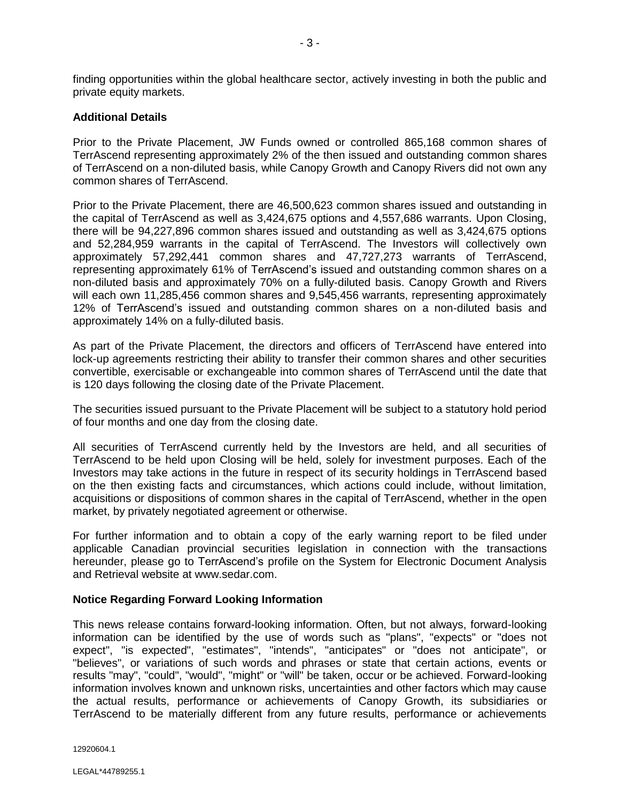finding opportunities within the global healthcare sector, actively investing in both the public and private equity markets.

#### **Additional Details**

Prior to the Private Placement, JW Funds owned or controlled 865,168 common shares of TerrAscend representing approximately 2% of the then issued and outstanding common shares of TerrAscend on a non-diluted basis, while Canopy Growth and Canopy Rivers did not own any common shares of TerrAscend.

Prior to the Private Placement, there are 46,500,623 common shares issued and outstanding in the capital of TerrAscend as well as 3,424,675 options and 4,557,686 warrants. Upon Closing, there will be 94,227,896 common shares issued and outstanding as well as 3,424,675 options and 52,284,959 warrants in the capital of TerrAscend. The Investors will collectively own approximately 57,292,441 common shares and 47,727,273 warrants of TerrAscend, representing approximately 61% of TerrAscend's issued and outstanding common shares on a non-diluted basis and approximately 70% on a fully-diluted basis. Canopy Growth and Rivers will each own 11,285,456 common shares and 9,545,456 warrants, representing approximately 12% of TerrAscend's issued and outstanding common shares on a non-diluted basis and approximately 14% on a fully-diluted basis.

As part of the Private Placement, the directors and officers of TerrAscend have entered into lock-up agreements restricting their ability to transfer their common shares and other securities convertible, exercisable or exchangeable into common shares of TerrAscend until the date that is 120 days following the closing date of the Private Placement.

The securities issued pursuant to the Private Placement will be subject to a statutory hold period of four months and one day from the closing date.

All securities of TerrAscend currently held by the Investors are held, and all securities of TerrAscend to be held upon Closing will be held, solely for investment purposes. Each of the Investors may take actions in the future in respect of its security holdings in TerrAscend based on the then existing facts and circumstances, which actions could include, without limitation, acquisitions or dispositions of common shares in the capital of TerrAscend, whether in the open market, by privately negotiated agreement or otherwise.

For further information and to obtain a copy of the early warning report to be filed under applicable Canadian provincial securities legislation in connection with the transactions hereunder, please go to TerrAscend's profile on the System for Electronic Document Analysis and Retrieval website at www.sedar.com.

#### **Notice Regarding Forward Looking Information**

This news release contains forward-looking information. Often, but not always, forward-looking information can be identified by the use of words such as "plans", "expects" or "does not expect", "is expected", "estimates", "intends", "anticipates" or "does not anticipate", or "believes", or variations of such words and phrases or state that certain actions, events or results "may", "could", "would", "might" or "will" be taken, occur or be achieved. Forward-looking information involves known and unknown risks, uncertainties and other factors which may cause the actual results, performance or achievements of Canopy Growth, its subsidiaries or TerrAscend to be materially different from any future results, performance or achievements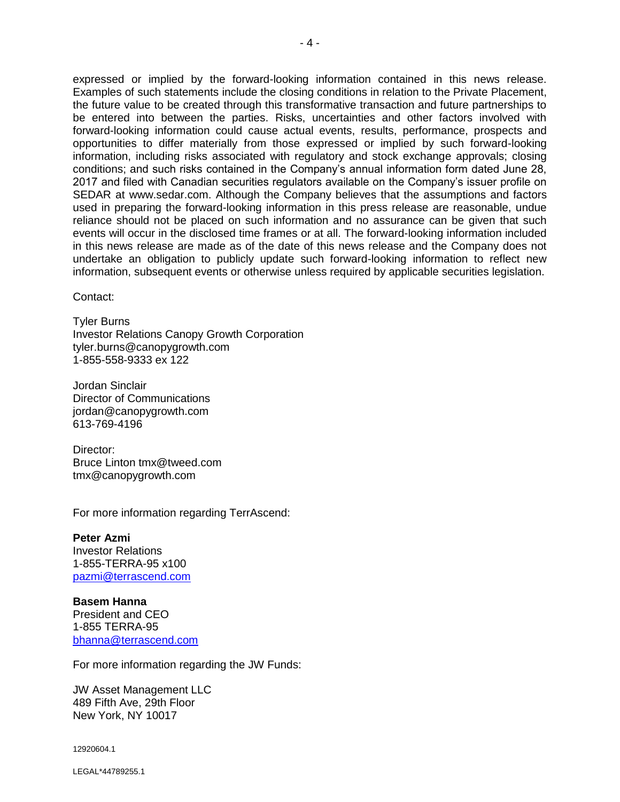expressed or implied by the forward-looking information contained in this news release. Examples of such statements include the closing conditions in relation to the Private Placement, the future value to be created through this transformative transaction and future partnerships to be entered into between the parties. Risks, uncertainties and other factors involved with forward-looking information could cause actual events, results, performance, prospects and opportunities to differ materially from those expressed or implied by such forward-looking information, including risks associated with regulatory and stock exchange approvals; closing conditions; and such risks contained in the Company's annual information form dated June 28, 2017 and filed with Canadian securities regulators available on the Company's issuer profile on SEDAR at www.sedar.com. Although the Company believes that the assumptions and factors used in preparing the forward-looking information in this press release are reasonable, undue reliance should not be placed on such information and no assurance can be given that such events will occur in the disclosed time frames or at all. The forward-looking information included in this news release are made as of the date of this news release and the Company does not undertake an obligation to publicly update such forward-looking information to reflect new information, subsequent events or otherwise unless required by applicable securities legislation.

Contact:

Tyler Burns Investor Relations Canopy Growth Corporation tyler.burns@canopygrowth.com 1-855-558-9333 ex 122

Jordan Sinclair Director of Communications jordan@canopygrowth.com 613-769-4196

Director: Bruce Linton tmx@tweed.com tmx@canopygrowth.com

For more information regarding TerrAscend:

**Peter Azmi** Investor Relations 1-855-TERRA-95 x100 [pazmi@terrascend.com](mailto:aunterman@terrascend.com)

**Basem Hanna**  President and CEO 1-855 TERRA-95 [bhanna@terrascend.com](mailto:bhanna@terrascend.com)

For more information regarding the JW Funds:

JW Asset Management LLC 489 Fifth Ave, 29th Floor New York, NY 10017

12920604.1

LEGAL\*44789255.1